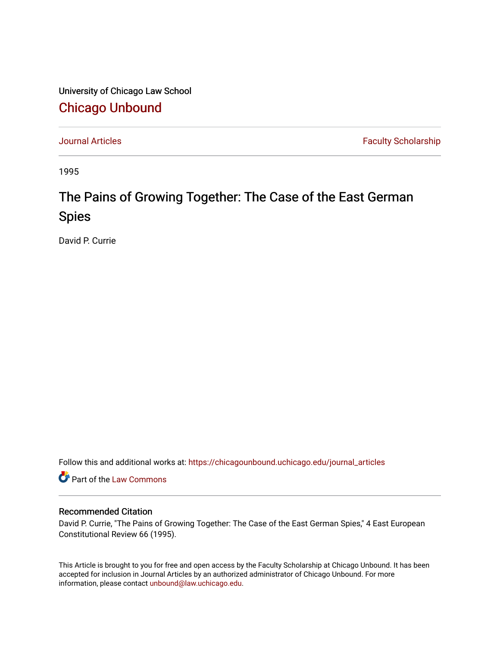University of Chicago Law School [Chicago Unbound](https://chicagounbound.uchicago.edu/)

[Journal Articles](https://chicagounbound.uchicago.edu/journal_articles) **Faculty Scholarship Faculty Scholarship** 

1995

## The Pains of Growing Together: The Case of the East German Spies

David P. Currie

Follow this and additional works at: [https://chicagounbound.uchicago.edu/journal\\_articles](https://chicagounbound.uchicago.edu/journal_articles?utm_source=chicagounbound.uchicago.edu%2Fjournal_articles%2F3887&utm_medium=PDF&utm_campaign=PDFCoverPages) 

Part of the [Law Commons](http://network.bepress.com/hgg/discipline/578?utm_source=chicagounbound.uchicago.edu%2Fjournal_articles%2F3887&utm_medium=PDF&utm_campaign=PDFCoverPages)

## Recommended Citation

David P. Currie, "The Pains of Growing Together: The Case of the East German Spies," 4 East European Constitutional Review 66 (1995).

This Article is brought to you for free and open access by the Faculty Scholarship at Chicago Unbound. It has been accepted for inclusion in Journal Articles by an authorized administrator of Chicago Unbound. For more information, please contact [unbound@law.uchicago.edu](mailto:unbound@law.uchicago.edu).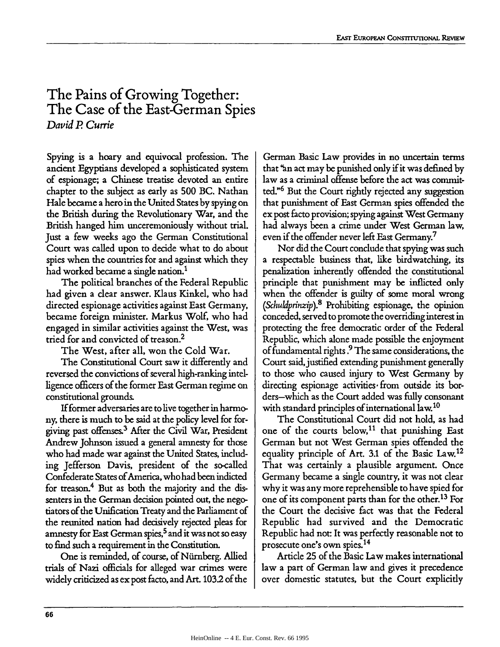## **The Pains of Growing Together: The Case of the East-German Spies** *David P Currie*

Spying is a hoary and equivocal profession. The ancient Egyptians developed a sophisticated system of espionage; a Chinese treatise devoted an entire chapter to the subject as early as 500 BC. Nathan Hale became a hero in the United States by spying on the British during the Revolutionary War, and the British hanged him unceremoniously without trial. Just a few weeks ago the German Constitutional Court was called upon to decide what to do about spies when the countries for and against which they had worked became a single nation.<sup>1</sup>

The political branches of the Federal Republic had given a dear answer. Klaus Kinkel, who had directed espionage activities against East Germany, became foreign minister. Markus Wolf, who had engaged in similar activities against the West, was tried for and convicted of treason.<sup>2</sup>

The West, after all, won the Cold War.

The Constitutional Court saw it differently and reversed the convictions of several high-ranking intelligence officers of the former East German regime on constitutional grounds.

If former adversaries are to live together in harmony, there is much to be said at the policy level for forgiving past offenses.3 After the Civil War, President Andrew Johnson issued a general amnesty for those who had made war against the United States, including Jefferson Davis, president of the so-called Confederate States of America, who had been indicted for treason.4 But as both the majority and the dissenters in the German decision pointed out, the negotiators of the Unification Treaty and the Parliament of the reunited nation had decisively rejected pleas for amnesty for East German spies,<sup>5</sup> and it was not so easy to find such a requirement in the Constitution.

One is reminded, of course, of Nurnberg. Allied trials of Nazi officials for alleged war crimes were widely criticized as ex post facto, and Art. 1032 of the

German Basic Law provides in no uncertain terms that **"an** act may be punished only if it was defined by law as a criminal offense before the act was committed."6 But the Court rightly rejected any suggestion that punishment of East German spies offended the ex post facto provision; spying against West Germany had always been a crime under West German law, even if the offender never left East Germany.7

Nor did the Court conclude that spying was such a respectable business that, like birdwatching, its penalization inherently offended the constitutional principle that punishment may be inflicted only when the offender is guilty of some moral wrong *(Schuldprinzip).8* Prohibiting espionage, the opinion conceded, served to promote the overriding interest in protecting the free democratic order of the Federal Republic, which alone made possible the enjoyment of fundamental rights.<sup>9</sup> The same considerations, the Court said, justified extending punishment generally to those who caused injury to West Germany by directing espionage activities from outside its borders-which as the Court added was fully consonant with standard principles of international law.<sup>10</sup>

The Constitutional Court did not hold, as had one of the courts below,<sup>11</sup> that punishing East German but not West German spies offended the equality principle of Art. 3.1 of the Basic Law.<sup>12</sup> That was certainly a plausible argument. Once Germany became a single country, it was not clear why it was any more reprehensible to have spied for one of its component parts than for the other.<sup>13</sup> For the Court the decisive fact was that the Federal Republic had survived and the Democratic Republic had not: It was perfectly reasonable not to prosecute one's own spies.<sup>14</sup>

Article 25 of the Basic Law makes international law a part of German law and gives it precedence over domestic statutes, but the Court explicitly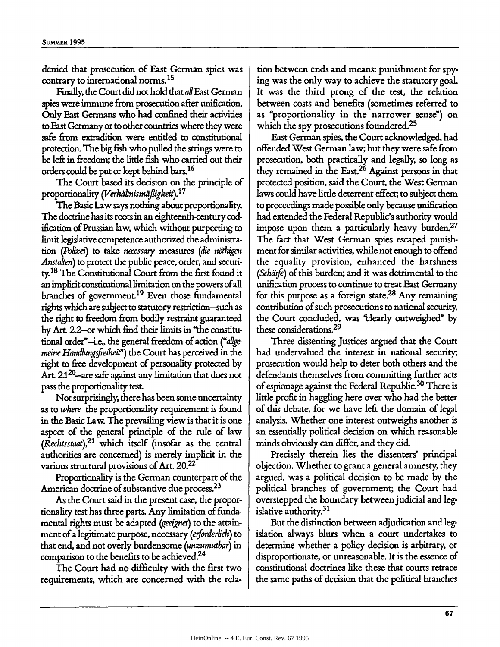denied that prosecution of East German spies was contrary to international norms. <sup>15</sup>

Finally, the Court did not hold that aflEast German spies were immune from prosecution after unification. Only East Germans who had confined their activities to East Germany or to other countries where they were safe from extradition were entitled to constitutional protection. The big fish who pulled the strings were to be left in freedom; the little fish who carried out their orders could be put or kept behind bars. <sup>16</sup>

The Court based its decision on the principle of proportionality *(Verhältnismäßigkeit*).<sup>17</sup>

The Basic Law says nothing about proportionality. The doctrine has its roots in an eighteenth-century codification of Prussian law, which without purporting to limit legislative competence authorized the administration *(Poize)* to take *necessary measures (Se nthigen Anstaten)* to protect the public peace, order, and securi**ty.18** The Constitutional Court from the first found it an implicit constitutional limitation on the powers ofall branches of government.<sup>19</sup> Even those fundamental rights which are subject to statutory restriction-such as the right to freedom from bodily restraint guaranteed by Art. 22-or which find their limits in "the constitutional order"-ie., the general freedom of action *("a/gemeine Handlungsfreiheit"*) the Court has perceived in the right to free development of personality protected by Art. 2.1<sup>20</sup>-are safe against any limitation that does not pass the proportionality test.

Not surprisingly, there has been some uncertainty as to *where* the proportionality requirement is found in the Basic Law. The prevailing view is that it is one aspect of the general principle of the rule of law *(Rechtsstaat),21* which itself (insofar as the central authorities are concerned) is merely implicit in the various structural provisions of Art. 20.<sup>22</sup>

Proportionality is the German counterpart of the American doctrine of substantive due process.<sup>23</sup>

As the Court said in the present case, the proportionality test has three parts. Any limitation of fundamental rights must be adapted *(eeignet)* to the attainment of a legitimate purpose, necessary *(erforderich)* to that end, and not overly burdensome *(unzumutbar) in* comparison to the benefits to be achieved.<sup>24</sup>

The Court had no difficulty with the first two requirements, which are concerned with the relation between ends and means: punishment for spying was the only way to achieve the statutory goaL It was the third prong of the test, the relation between costs and benefits (sometimes referred to as "proportionality in the narrower sense") on which the spy prosecutions foundered.<sup>25</sup>

East German spies, the Court acknowledged, had offended West German law; but they were safe from prosecution, both practically and legally, so long as they remained in the East.<sup>26</sup> Against persons in that protected position, said the Court, the West German laws could have little deterrent effect; to subject them to proceedings made possible only because unification had extended the Federal Republic's authority would impose upon them a particularly heavy burden.<sup>27</sup> The fact that West German spies escaped punishment for similar activities, while not enough to offend the equality provision, enhanced the harshness *(Schd fe)* of this burden; and it was detrimental to the unification process to continue to treat East Germany for this purpose as a foreign state.<sup>28</sup> Any remaining contribution of such prosecutions to national security, the Court concluded, was "clearly outweighed" by these considerations.<sup>29</sup>

Three dissenting Justices argued that the Court had undervalued the interest in national security; prosecution would help to deter both others and the defendants themselves from committing further acts of espionage against the Federal Republic.<sup>30</sup> There is little profit in haggling here over who had the better of this debate, for we have left the domain of legal analysis. Whether one interest outweighs another is an essentially political decision on which reasonable minds obviously can differ, and they did.

Precisely therein lies the dissenters' principal objection. Whether to grant a general amnesty, they argued, was a political decision to be made by the political branches of government; the Court had overstepped the boundary between judicial and legislative authority.<sup>31</sup>

But the distinction between adjudication and legislation always blurs when a court undertakes to determine whether a policy decision is arbitrary, or disproportionate, or unreasonable. It is the essence of constitutional doctrines like these that courts retrace the same paths of decision that the political branches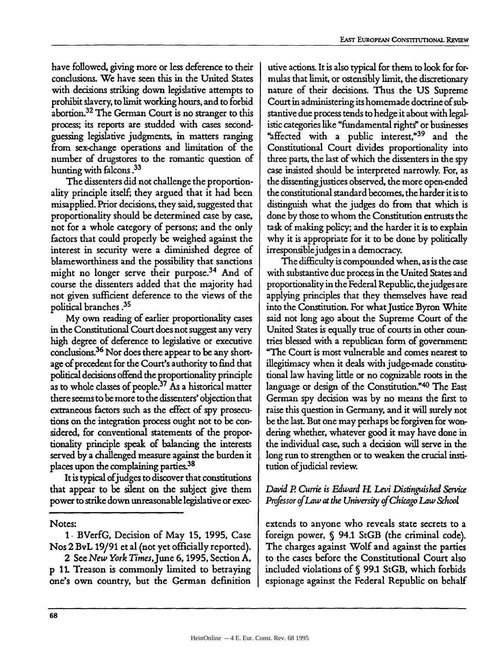have followed, giving more or less deference to their conclusions. We have seen this in the United States with decisions striking down legislative attempts to prohibit slavery, to limit working hours, and to forbid abortion.<sup>32</sup> The German Court is no stranger to this process; its reports are studded with cases secondguessing legislative judgments, in matters ranging from sex-change operations and limitation of the number of drugstores to the romantic question of hunting with falcons **.33**

The dissenters did not challenge the proportionality principle itself; they argued that it had been misapplied. Prior decisions, they said, suggested that proportionality should be determined case by case, not for a whole category of persons; and the only factors that could properly be weighed against the interest in security were a diminished degree of blameworthiness and the possibility that sanctions might no longer serve their purpose.<sup>34</sup> And of course the dissenters added that the majority had not given sufficient deference to the views of the political branches **.35**

My own reading of earlier proportionality cases in the Constitutional Court does not suggest any very high degree of deference to legislative or executive conclusions.<sup>36</sup> Nor does there appear to be any shortage of precedent for the Court's authority to find that political decisions offend the proportionality principle as to whole classes of people.<sup>37</sup> As a historical matter there seems to be more to the dissenters' objection that extraneous factors such as the effect of spy prosecutions on the integration process ought not to be considered, for conventional statements of the proportionality principle speak of balancing the interests served by a challenged measure against the burden it places upon the complaining parties.<sup>38</sup>

It is typical ofjudges to discover that constitutions that appear to be silent on the subject give them power to strike down unreasonable legislative or exec-

Notes:

2 See *New York TimesJune* **6,1995,** Section **A,** p 11. Treason is commonly limited to betraying one's own country, but the German definition

utive actions. It is also typical for them to look for formulas that limit, or ostensibly limit, the discretionary nature of their decisions. Thus the US Supreme Court in administering its homemade doctrine of substantive due process tends to hedge it about with legalistic categories like "fundamental rights" or businesses "affected with a public interest,"<sup>39</sup> and the Constitutional Court divides proportionality into three parts, the last of which the dissenters in the spy case insisted should be interpreted narrowly. For, as the dissenting justices observed, the more open-ended the constitutional standard becomes, the harder it is to distinguish what the judges do from that which is done by those to whom the Constitution entrusts the task of making policy; and the harder it is to explain why it is appropriate for it to be done by politically irresponsible judges in a democracy.

The difficulty is compounded when, as is the case with substantive due process in the United States and proportionality in the Federal Republic, thej udges are applying principles that they themselves have read into the Constitution. For what Justice Byron White said not long ago about the Supreme Court of the United States is equally true of courts in other countries blessed with a republican form of government "The Court is most vulnerable and comes nearest to illegitimacy when it deals with judge-made constitutional law having little or no cognizable roots in the language or design of the Constitution."<sup>40</sup> The East German spy decision was by no means the first to raise this question in Germany, and it will surely not be the last. But one may perhaps be forgiven for wondering whether, whatever good it may have done in the individual case, such a decision will serve in the long run to strengthen or to weaken the crucial institution ofjudicial review.

## *David P Currie is Edward IL Levi Distinguished Service Professor of* Law *at the University of Chicago Law &hooL*

extends to anyone who reveals state secrets to a foreign power, § 94.1 StGB (the criminal code). The charges against Wolf and against the parties to the cases before the Constitutional Court also included violations of **§** 99.1 StGB, which forbids espionage against the Federal Republic on behalf

**<sup>1</sup>** - BVerfG, Decision of May 15, 1995, Case Nos 2 BvL 19/91 et al (not yet officially reported).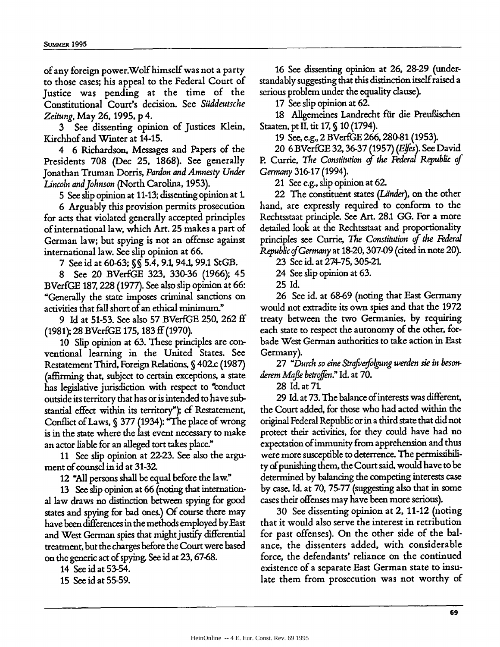of any foreign power.Wolf himself was not a party to those cases; his appeal to the Federal Court of Justice was pending at the time of the Constitutional Court's decision. See *Siiddeutsche Zeitung,* May 26, 1995, p 4.

3 See dissenting opinion of Justices Klein, Kirchhof and Winter at 14-15.

4 6 Richardson, Messages and Papers of the Presidents 708 (Dec 25, 1868). See generally Jonathan Truman Dorris, *Pardon and Amnesty Under Lincoln and Johnson* (North Carolina, 1953).

5 See slip opinion at 11-13; dissenting opinion at 1.

6 Arguably this provision permits prosecution for acts that violated generally accepted principles of international law, which Art. 25 makes a part of German law; but spying is not an offense against international law. See slip opinion at 66.

7 See id at 60-63; **§ S** 5.4, 9.1 94.1, 99.1 StGB.

8 See 20 BVerfGE 323, 330-36 (1966); 45 BVerfGE 187,228 (1977). See also slip opinion at 66: "Generally the state imposes criminal sanctions on activities that fall short of an ethical minimum."

9 Id at 51-53. See also 57 BVerfGE 250, 262 **ff** (1981); 28 BVerfGE 175, 183 ff (1970).

**10** Slip opinion at 63. These principles are conventional learning in the United States. See Restatement Third, Foreign Relations, **§** 402.c (1987) (affirming that, subject to certain exceptions, a state has legislative jurisdiction with respect to "conduct outside its territory that has or is intended to have substantial effect within its territory"); cf Restatement, Conflict of Laws, **S 377** (1934): "The place of wrong is in the state where the last event necessary to make an actor liable for an alleged tort takes place."

11 See slip opinion at 22-23. See also the argument of counsel in id at 31-32.

12 "All persons shall be equal before the law."

**13** See slip opinion at 66 (noting that international law draws no distinction between spying for good states and spying for bad ones.) Of course there may have been differences in the methods employed by East and West German spies that might justify differential treatment, but the charges before the Court were based on the generic act of spying. See id at 23, 67-68.

14 See id at 53-54.

15 See id at 55-59.

16 See dissenting opinion at 26, 28-29 (understandably suggesting that this distinction itself raised a serious problem under the equality clause).

17 See slip opinion at 62.

18 Allgemeines Landrecht für die Preußischen Staaten, pt II, tit 17, **§** 10 (1794).

19 See, e.g., 2 BVerfGE 266,280-81 (1953).

20 6 BVerfGE 32, 36-37 (1957) (Elfes). See David P. Currie, *The Constitution of the Federal Republic of Germany* 316-17 (1994).

21 See e.g., slip opinion at 62.

22 The constituent states *(Länder)*, on the other hand, are expressly required to conform to the Rechtsstaat principle. See Art. 28.1 GG. For a more detailed look at the Rechtsstaat and proportionality principles see Currie, *The Constitution of the Federal Republic ofGermany* at 18-20, 307-09 (cited in note 20).

23 See id. at 274-75,305-21.

24 See slip opinion at 63.

25 Id.

26 See id. at 68-69 (noting that East Germany would not extradite its own spies and that the 1972 treaty between the two Germanies, by requiring each state to respect the autonomy of the other, forbade West German authorities to take action in East Germany).

27 "Durch so eine Strafverfolgung werden sie in besonderem Mafle *betroffen."* Id. at 70.

28 Id. at 71

29 Id. at **73.** The balance **of** interests was different, the Court added, for those who had acted within the original Federal Republic or in a third state that did not protect their activities, for they could have had no expectation of immunity from apprehension and thus were more susceptible to deterrence. The permissibility of punishing them, the Court said, would have to be determined by balancing the competing interests case by case. Id. at **70,** 75-77 (suggesting also that in some cases their offenses may have been more serious).

30 See dissenting opinion at 2, 11-12 (noting that it would also serve the interest in retribution for past offenses). On the other side of the balance, the dissenters added, with considerable force, the defendants' reliance on the continued existence of a separate East German state to insulate them from prosecution was not worthy of